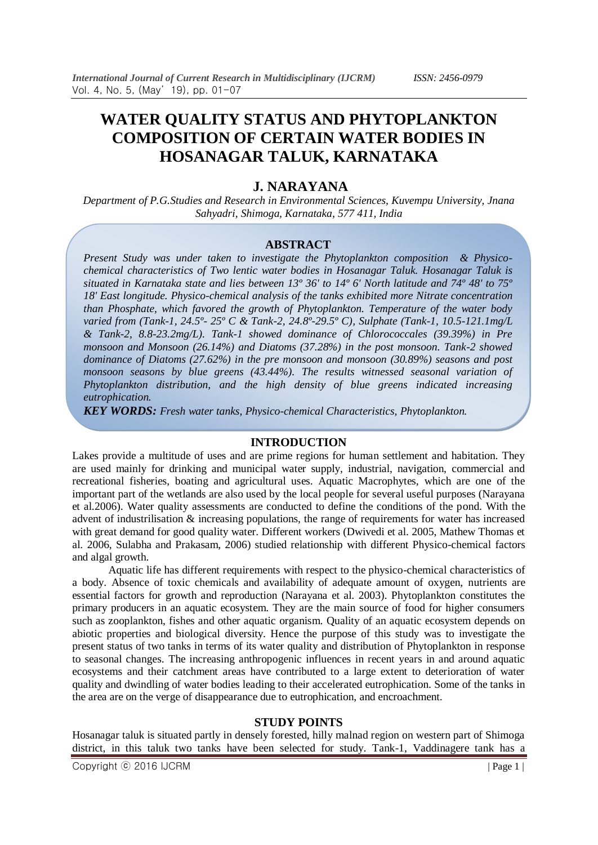# **WATER QUALITY STATUS AND PHYTOPLANKTON COMPOSITION OF CERTAIN WATER BODIES IN HOSANAGAR TALUK, KARNATAKA**

# **J. NARAYANA**

*Department of P.G.Studies and Research in Environmental Sciences, Kuvempu University, Jnana Sahyadri, Shimoga, Karnataka, 577 411, India*

## **ABSTRACT**

*Present Study was under taken to investigate the Phytoplankton composition & Physicochemical characteristics of Two lentic water bodies in Hosanagar Taluk. Hosanagar Taluk is situated in Karnataka state and lies between 13º 36' to 14º 6' North latitude and 74º 48' to 75º 18' East longitude. Physico-chemical analysis of the tanks exhibited more Nitrate concentration than Phosphate, which favored the growth of Phytoplankton. Temperature of the water body varied from (Tank-1, 24.5º- 25º C & Tank-2, 24.8º-29.5º C), Sulphate (Tank-1, 10.5-121.1mg/L & Tank-2, 8.8-23.2mg/L). Tank-1 showed dominance of Chlorococcales (39.39%) in Pre monsoon and Monsoon (26.14%) and Diatoms (37.28%) in the post monsoon. Tank-2 showed dominance of Diatoms (27.62%) in the pre monsoon and monsoon (30.89%) seasons and post monsoon seasons by blue greens (43.44%). The results witnessed seasonal variation of Phytoplankton distribution, and the high density of blue greens indicated increasing eutrophication.*

*KEY WORDS: Fresh water tanks, Physico-chemical Characteristics, Phytoplankton.*

## **INTRODUCTION**

Lakes provide a multitude of uses and are prime regions for human settlement and habitation. They are used mainly for drinking and municipal water supply, industrial, navigation, commercial and recreational fisheries, boating and agricultural uses. Aquatic Macrophytes, which are one of the important part of the wetlands are also used by the local people for several useful purposes (Narayana et al.2006). Water quality assessments are conducted to define the conditions of the pond. With the advent of industrilisation & increasing populations, the range of requirements for water has increased with great demand for good quality water. Different workers (Dwivedi et al. 2005, Mathew Thomas et al. 2006, Sulabha and Prakasam, 2006) studied relationship with different Physico-chemical factors and algal growth.

Aquatic life has different requirements with respect to the physico-chemical characteristics of a body. Absence of toxic chemicals and availability of adequate amount of oxygen, nutrients are essential factors for growth and reproduction (Narayana et al. 2003). Phytoplankton constitutes the primary producers in an aquatic ecosystem. They are the main source of food for higher consumers such as zooplankton, fishes and other aquatic organism. Quality of an aquatic ecosystem depends on abiotic properties and biological diversity. Hence the purpose of this study was to investigate the present status of two tanks in terms of its water quality and distribution of Phytoplankton in response to seasonal changes. The increasing anthropogenic influences in recent years in and around aquatic ecosystems and their catchment areas have contributed to a large extent to deterioration of water quality and dwindling of water bodies leading to their accelerated eutrophication. Some of the tanks in the area are on the verge of disappearance due to eutrophication, and encroachment.

## **STUDY POINTS**

Hosanagar taluk is situated partly in densely forested, hilly malnad region on western part of Shimoga district, in this taluk two tanks have been selected for study. Tank-1, Vaddinagere tank has a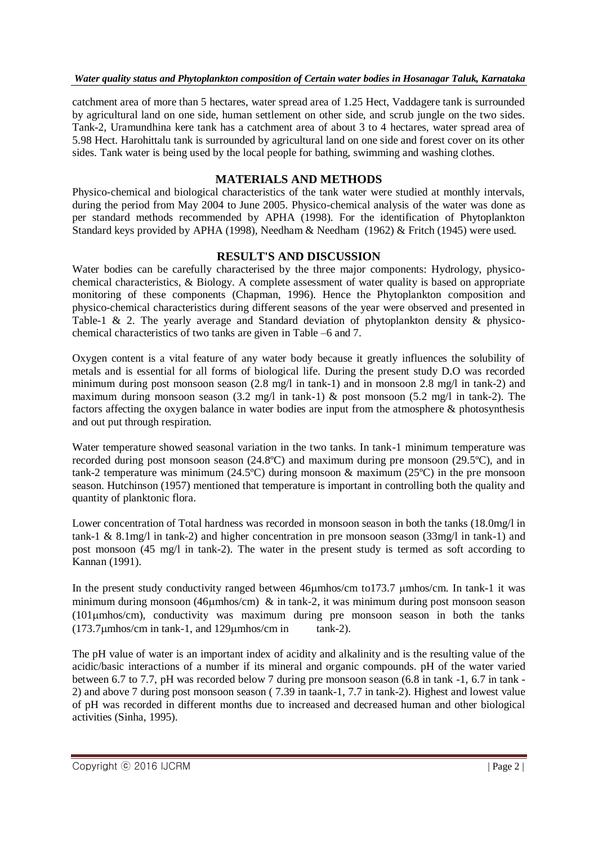# *Water quality status and Phytoplankton composition of Certain water bodies in Hosanagar Taluk, Karnataka*

catchment area of more than 5 hectares, water spread area of 1.25 Hect, Vaddagere tank is surrounded by agricultural land on one side, human settlement on other side, and scrub jungle on the two sides. Tank-2, Uramundhina kere tank has a catchment area of about 3 to 4 hectares, water spread area of 5.98 Hect. Harohittalu tank is surrounded by agricultural land on one side and forest cover on its other sides. Tank water is being used by the local people for bathing, swimming and washing clothes.

# **MATERIALS AND METHODS**

Physico-chemical and biological characteristics of the tank water were studied at monthly intervals, during the period from May 2004 to June 2005. Physico-chemical analysis of the water was done as per standard methods recommended by APHA (1998). For the identification of Phytoplankton Standard keys provided by APHA (1998), Needham & Needham (1962) & Fritch (1945) were used.

# **RESULT'S AND DISCUSSION**

Water bodies can be carefully characterised by the three major components: Hydrology, physicochemical characteristics, & Biology. A complete assessment of water quality is based on appropriate monitoring of these components (Chapman, 1996). Hence the Phytoplankton composition and physico-chemical characteristics during different seasons of the year were observed and presented in Table-1 & 2. The yearly average and Standard deviation of phytoplankton density & physicochemical characteristics of two tanks are given in Table –6 and 7.

Oxygen content is a vital feature of any water body because it greatly influences the solubility of metals and is essential for all forms of biological life. During the present study D.O was recorded minimum during post monsoon season (2.8 mg/l in tank-1) and in monsoon 2.8 mg/l in tank-2) and maximum during monsoon season (3.2 mg/l in tank-1) & post monsoon (5.2 mg/l in tank-2). The factors affecting the oxygen balance in water bodies are input from the atmosphere & photosynthesis and out put through respiration.

Water temperature showed seasonal variation in the two tanks. In tank-1 minimum temperature was recorded during post monsoon season (24.8ºC) and maximum during pre monsoon (29.5ºC), and in tank-2 temperature was minimum (24.5ºC) during monsoon & maximum (25ºC) in the pre monsoon season. Hutchinson (1957) mentioned that temperature is important in controlling both the quality and quantity of planktonic flora.

Lower concentration of Total hardness was recorded in monsoon season in both the tanks (18.0mg/l in tank-1 & 8.1mg/l in tank-2) and higher concentration in pre monsoon season (33mg/l in tank-1) and post monsoon (45 mg/l in tank-2). The water in the present study is termed as soft according to Kannan (1991).

In the present study conductivity ranged between 46umhos/cm to173.7 umhos/cm. In tank-1 it was minimum during monsoon (46 $\mu$ mhos/cm) & in tank-2, it was minimum during post monsoon season (101mhos/cm), conductivity was maximum during pre monsoon season in both the tanks  $(173.7 \mu m \text{hos/cm in tank-1}, \text{and } 129 \mu m \text{hos/cm in} \text{tank-2}.$ 

The pH value of water is an important index of acidity and alkalinity and is the resulting value of the acidic/basic interactions of a number if its mineral and organic compounds. pH of the water varied between 6.7 to 7.7, pH was recorded below 7 during pre monsoon season (6.8 in tank -1, 6.7 in tank - 2) and above 7 during post monsoon season ( 7.39 in taank-1, 7.7 in tank-2). Highest and lowest value of pH was recorded in different months due to increased and decreased human and other biological activities (Sinha, 1995).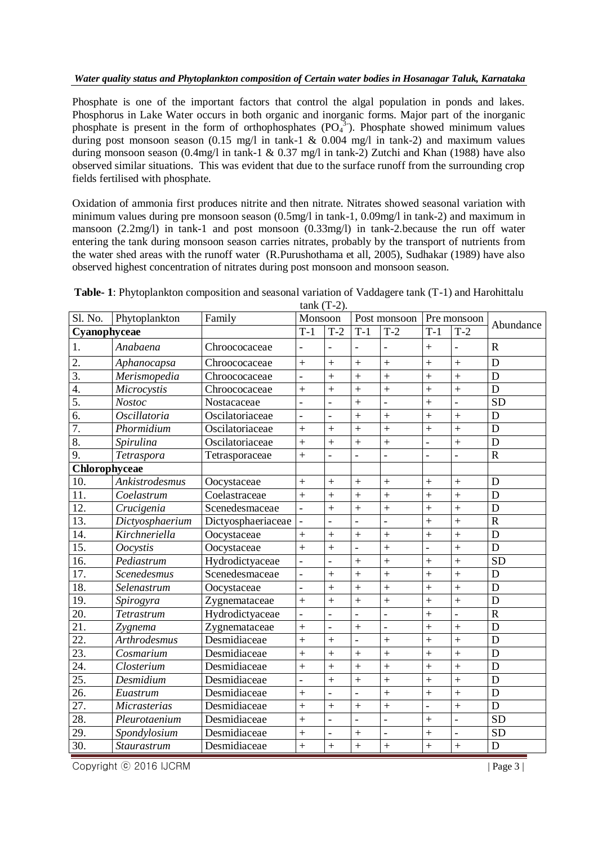## *Water quality status and Phytoplankton composition of Certain water bodies in Hosanagar Taluk, Karnataka*

Phosphate is one of the important factors that control the algal population in ponds and lakes. Phosphorus in Lake Water occurs in both organic and inorganic forms. Major part of the inorganic phosphate is present in the form of orthophosphates  $(PO<sub>4</sub><sup>3</sup>)$ . Phosphate showed minimum values during post monsoon season  $(0.15 \text{ mg/l} \text{ in } \text{tank-1} \& 0.004 \text{ mg/l} \text{ in } \text{tank-2})$  and maximum values during monsoon season (0.4mg/l in tank-1 & 0.37 mg/l in tank-2) Zutchi and Khan (1988) have also observed similar situations. This was evident that due to the surface runoff from the surrounding crop fields fertilised with phosphate.

Oxidation of ammonia first produces nitrite and then nitrate. Nitrates showed seasonal variation with minimum values during pre monsoon season (0.5mg/l in tank-1, 0.09mg/l in tank-2) and maximum in mansoon (2.2mg/l) in tank-1 and post monsoon (0.33mg/l) in tank-2.because the run off water entering the tank during monsoon season carries nitrates, probably by the transport of nutrients from the water shed areas with the runoff water (R.Purushothama et all, 2005), Sudhakar (1989) have also observed highest concentration of nitrates during post monsoon and monsoon season.

| Sl. No.           | Phytoplankton       | Family             | Monsoon        | talin (1 -2).  |                | Post monsoon     |                          | Pre monsoon         |                       |
|-------------------|---------------------|--------------------|----------------|----------------|----------------|------------------|--------------------------|---------------------|-----------------------|
| Cyanophyceae      |                     |                    | $T-1$          | $T-2$          | $T-1$          | $\overline{T-2}$ | $T-1$                    | $T-2$               | Abundance             |
| 1.                | Anabaena            | Chroococaceae      |                |                |                |                  | $^{+}$                   |                     | $\mathbf R$           |
| 2.                | Aphanocapsa         | Chroococaceae      | $\ddot{}$      | $\ddot{}$      | $\ddot{}$      | $\ddot{}$        | $+$                      | $\ddot{}$           | D                     |
| $\overline{3}$ .  | Merismopedia        | Chroococaceae      |                | $\ddot{}$      | $\ddot{}$      | $\ddot{}$        | $\ddot{+}$               | $\ddot{}$           | D                     |
| $\overline{4}$ .  | Microcystis         | Chroococaceae      | $^{+}$         | $\ddot{}$      | $\ddot{}$      | $\ddot{}$        | $^{+}$                   | $\ddot{}$           | D                     |
| 5.                | <b>Nostoc</b>       | Nostacaceae        |                |                | $\ddot{}$      |                  | $+$                      | $\frac{1}{2}$       | $\overline{SD}$       |
| 6.                | <b>Oscillatoria</b> | Oscilatoriaceae    |                |                | $\ddot{}$      | $\ddot{}$        | $\ddot{}$                | $\ddot{+}$          | $\mathbf D$           |
| 7.                | Phormidium          | Oscilatoriaceae    | $\ddot{}$      | $+$            | $\ddot{}$      | $\ddot{}$        | $\ddot{}$                | $\ddot{}$           | D                     |
| 8.                | Spirulina           | Oscilatoriaceae    | $\ddot{}$      | $\ddot{}$      | $\ddot{}$      | $\ddot{}$        | $\frac{1}{2}$            | $\ddot{}$           | D                     |
| 9.                | Tetraspora          | Tetrasporaceae     | $+$            |                |                |                  | $\overline{a}$           | $\bar{\phantom{a}}$ | $\mathbf R$           |
| Chlorophyceae     |                     |                    |                |                |                |                  |                          |                     |                       |
| 10.               | Ankistrodesmus      | Oocystaceae        | $+$            | $^{+}$         | $^{+}$         | $\ddot{}$        | $+$                      | $+$                 | D                     |
| 11.               | Coelastrum          | Coelastraceae      | $^{+}$         | $+$            | $\ddot{}$      | $\ddot{}$        | $\ddot{}$                | $\ddot{}$           | D                     |
| 12.               | Crucigenia          | Scenedesmaceae     |                | $\ddot{}$      | $\ddot{}$      | $\ddot{}$        | $\ddot{+}$               | $\ddot{+}$          | D                     |
| 13.               | Dictyosphaerium     | Dictyosphaeriaceae |                |                | $\overline{a}$ |                  | $\ddot{}$                | $\ddot{}$           | $\overline{\text{R}}$ |
| 14.               | Kirchneriella       | Oocystaceae        | $^{+}$         | $+$            | $\ddot{}$      | $\ddot{}$        | $\ddot{}$                | $\ddot{+}$          | $\overline{D}$        |
| 15.               | <i>Oocystis</i>     | Oocystaceae        | $\ddot{}$      | $^{+}$         |                | $\ddot{}$        | $\overline{\phantom{a}}$ | $\ddot{}$           | $\mathbf D$           |
| 16.               | Pediastrum          | Hydrodictyaceae    | $\overline{a}$ |                | $\ddag$        | $\ddot{}$        | $\ddot{}$                | $\ddot{+}$          | $\overline{SD}$       |
| 17.               | <b>Scenedesmus</b>  | Scenedesmaceae     | $\frac{1}{2}$  | $^{+}$         | $\ddot{}$      | $\ddot{}$        | $\ddot{+}$               | $\ddot{}$           | D                     |
| 18.               | Selenastrum         | Oocystaceae        | $\overline{a}$ | $\ddot{}$      | $\ddot{}$      | $\ddot{}$        | $\ddot{}$                | $\ddot{+}$          | D                     |
| 19.               | Spirogyra           | Zygnemataceae      | $^{+}$         | $\ddag$        | $\ddot{}$      | $\ddot{+}$       | $\ddot{}$                | $\qquad \qquad +$   | $\mathbf D$           |
| 20.               | Tetrastrum          | Hydrodictyaceae    | $\overline{a}$ |                | $\overline{a}$ | $\overline{a}$   | $\ddot{+}$               | $\overline{a}$      | $\overline{\text{R}}$ |
| 21.               | Zygnema             | Zygnemataceae      | $\ddot{}$      | $\overline{a}$ | $\ddot{}$      | $\overline{a}$   | $\ddot{+}$               | $\ddot{}$           | D                     |
| $\overline{22}$ . | <b>Arthrodesmus</b> | Desmidiaceae       | $\ddot{}$      | $\ddot{}$      | $\overline{a}$ | $\ddot{}$        | $\ddot{+}$               | $\ddot{+}$          | D                     |
| 23.               | Cosmarium           | Desmidiaceae       | $+$            | $+$            | $\ddot{}$      | $\ddot{}$        | $\ddot{+}$               | $+$                 | D                     |
| 24.               | Closterium          | Desmidiaceae       | $\ddot{}$      | $\ddot{}$      | $\ddot{}$      | $\ddot{}$        | $\ddot{}$                | $\ddot{+}$          | $\mathbf D$           |
| $\overline{25}$ . | Desmidium           | Desmidiaceae       | $\overline{a}$ | $\ddag$        | $\ddot{}$      | $\ddot{}$        | $\ddot{}$                | $\ddot{}$           | $\mathbf D$           |
| $\overline{26}$ . | Euastrum            | Desmidiaceae       | $\ddot{}$      |                | $\overline{a}$ | $\ddot{}$        | $\ddot{}$                | $\ddot{}$           | $\mathbf D$           |
| 27.               | <b>Micrasterias</b> | Desmidiaceae       | $\ddot{}$      | $+$            | $\ddot{}$      | $\ddot{}$        | $\frac{1}{2}$            | $\ddot{}$           | D                     |
| 28.               | Pleurotaenium       | Desmidiaceae       | $+$            | $\overline{a}$ | $\overline{a}$ | $\overline{a}$   | $\ddot{}$                | $\overline{a}$      | $\overline{SD}$       |
| 29.               | Spondylosium        | Desmidiaceae       | $^{+}$         |                | $^{+}$         |                  | $^{+}$                   | $\blacksquare$      | <b>SD</b>             |
| 30.               | <b>Staurastrum</b>  | Desmidiaceae       | $\ddot{}$      | $\ddot{}$      | $\ddot{}$      | $\ddot{+}$       | $\qquad \qquad +$        | $\qquad \qquad +$   | $\mathbf D$           |

**Table- 1**: Phytoplankton composition and seasonal variation of Vaddagere tank (T-1) and Harohittalu tank  $(T_2)$ 

Copyright © 2016 IJCRM | Page 3 |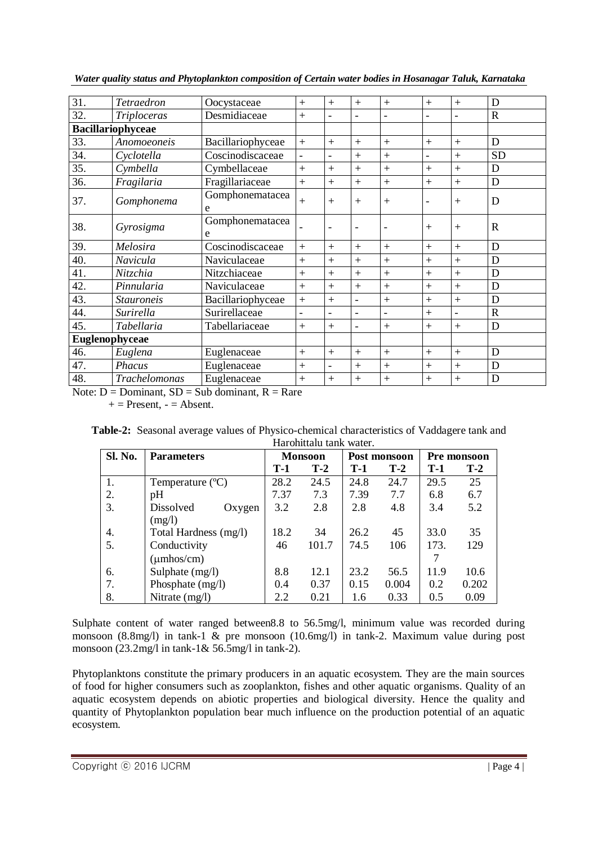| 31.                      | Tetraedron        | Oocystaceae          | $+$                      | $+$                      | $+$                      | $+$                      | $+$                      | $+$                          | D           |
|--------------------------|-------------------|----------------------|--------------------------|--------------------------|--------------------------|--------------------------|--------------------------|------------------------------|-------------|
| 32.                      | Triploceras       | Desmidiaceae         | $+$                      |                          |                          |                          | $\overline{\phantom{0}}$ | $\qquad \qquad \blacksquare$ | R           |
| <b>Bacillariophyceae</b> |                   |                      |                          |                          |                          |                          |                          |                              |             |
| 33.                      | Anomoeoneis       | Bacillariophyceae    | $+$                      | $+$                      | $+$                      | $+$                      | $+$                      | $+$                          | D           |
| 34.                      | Cyclotella        | Coscinodiscaceae     | $\overline{\phantom{a}}$ |                          | $+$                      | $+$                      | $\overline{\phantom{0}}$ | $+$                          | <b>SD</b>   |
| 35.                      | Cymbella          | Cymbellaceae         | $+$                      | $^{+}$                   | $+$                      | $+$                      | $+$                      | $+$                          | D           |
| 36.                      | Fragilaria        | Fragillariaceae      | $+$                      | $+$                      | $+$                      | $+$                      | $+$                      | $+$                          | D           |
| 37.                      | Gomphonema        | Gomphonematacea<br>e | $+$                      | $+$                      | $+$                      | $+$                      | ۳                        | $+$                          | D           |
| 38.                      | Gyrosigma         | Gomphonematacea<br>e |                          |                          |                          | $\overline{\phantom{a}}$ | $^{+}$                   | $^{+}$                       | $\mathbf R$ |
| 39.                      | Melosira          | Coscinodiscaceae     | $+$                      | $+$                      | $+$                      | $+$                      | $+$                      | $+$                          | D           |
| 40.                      | Navicula          | Naviculaceae         | $+$                      | $+$                      | $+$                      | $+$                      | $+$                      | $^{+}$                       | D           |
| 41.                      | Nitzchia          | Nitzchiaceae         | $+$                      | $+$                      | $+$                      | $+$                      | $+$                      | $^{+}$                       | D           |
| 42.                      | Pinnularia        | Naviculaceae         | $+$                      | $+$                      | $+$                      | $+$                      | $+$                      | $+$                          | D           |
| 43.                      | <b>Stauroneis</b> | Bacillariophyceae    | $+$                      | $+$                      | $\overline{\phantom{0}}$ | $+$                      | $+$                      | $\ddag$                      | D           |
| 44.                      | Surirella         | Surirellaceae        | $\overline{\phantom{a}}$ |                          |                          | $\overline{\phantom{0}}$ | $+$                      |                              | R           |
| 45.                      | Tabellaria        | Tabellariaceae       | $+$                      | $+$                      | ۳                        | $+$                      | $+$                      | $+$                          | D           |
| Euglenophyceae           |                   |                      |                          |                          |                          |                          |                          |                              |             |
| 46.                      | Euglena           | Euglenaceae          | $+$                      | $+$                      | $+$                      | $+$                      | $+$                      | $+$                          | D           |
| 47.                      | Phacus            | Euglenaceae          | $^{+}$                   | $\overline{\phantom{a}}$ | $+$                      | $+$                      | $+$                      | $^{+}$                       | D           |
| 48.                      | Trachelomonas     | Euglenaceae          | $+$                      | $^{+}$                   | $\ddag$                  | $+$                      | $+$                      | $^{+}$                       | D           |

*Water quality status and Phytoplankton composition of Certain water bodies in Hosanagar Taluk, Karnataka*

Note:  $D =$  Dominant,  $SD =$  Sub dominant,  $R =$  Rare

 $+=$  Present,  $=$  Absent.

| <b>Table-2:</b> Seasonal average values of Physico-chemical characteristics of Vaddagere tank and |  |
|---------------------------------------------------------------------------------------------------|--|
| Harohittalu tank water.                                                                           |  |

| Sl. No. | <b>Parameters</b>     |       | <b>Monsoon</b> |       | Post monsoon | Pre monsoon |       |
|---------|-----------------------|-------|----------------|-------|--------------|-------------|-------|
|         |                       | $T-1$ | $T-2$          | $T-1$ | $T-2$        | $T-1$       | $T-2$ |
| 1.      | Temperature $(C)$     | 28.2  | 24.5           | 24.8  | 24.7         | 29.5        | 25    |
| 2.      | pH                    | 7.37  | 7.3            | 7.39  | 7.7          | 6.8         | 6.7   |
| 3.      | Dissolved<br>Oxygen   | 3.2   | 2.8            | 2.8   | 4.8          | 3.4         | 5.2   |
|         | (mg/l)                |       |                |       |              |             |       |
| 4.      | Total Hardness (mg/l) | 18.2  | 34             | 26.2  | 45           | 33.0        | 35    |
| 5.      | Conductivity          | 46    | 101.7          | 74.5  | 106          | 173.        | 129   |
|         | $(\mu$ mhos/cm $)$    |       |                |       |              |             |       |
| 6.      | Sulphate (mg/l)       | 8.8   | 12.1           | 23.2  | 56.5         | 11.9        | 10.6  |
| 7.      | Phosphate (mg/l)      | 0.4   | 0.37           | 0.15  | 0.004        | 0.2         | 0.202 |
| 8.      | Nitrate (mg/l)        | 2.2   | 0.21           | 1.6   | 0.33         | 0.5         | 0.09  |

Sulphate content of water ranged between8.8 to 56.5mg/l, minimum value was recorded during monsoon (8.8mg/l) in tank-1 & pre monsoon (10.6mg/l) in tank-2. Maximum value during post monsoon (23.2mg/l in tank-1& 56.5mg/l in tank-2).

Phytoplanktons constitute the primary producers in an aquatic ecosystem. They are the main sources of food for higher consumers such as zooplankton, fishes and other aquatic organisms. Quality of an aquatic ecosystem depends on abiotic properties and biological diversity. Hence the quality and quantity of Phytoplankton population bear much influence on the production potential of an aquatic ecosystem.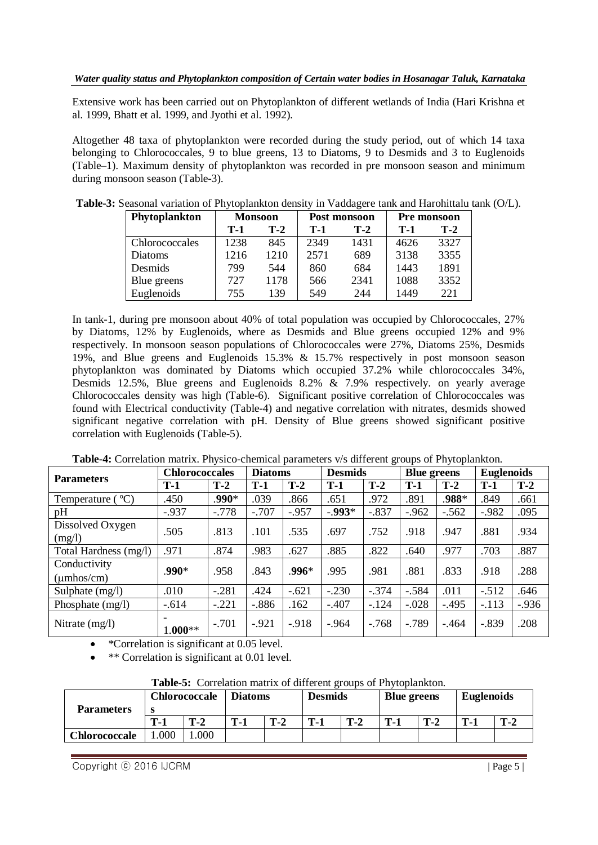Extensive work has been carried out on Phytoplankton of different wetlands of India (Hari Krishna et al. 1999, Bhatt et al. 1999, and Jyothi et al. 1992).

Altogether 48 taxa of phytoplankton were recorded during the study period, out of which 14 taxa belonging to Chlorococcales, 9 to blue greens, 13 to Diatoms, 9 to Desmids and 3 to Euglenoids (Table–1). Maximum density of phytoplankton was recorded in pre monsoon season and minimum during monsoon season (Table-3).

| Phytoplankton  | <b>Monsoon</b> |       |       | Post monsoon | Pre monsoon |       |  |
|----------------|----------------|-------|-------|--------------|-------------|-------|--|
|                | T-1            | $T-2$ | $T-1$ | $T-2$        |             | $T-2$ |  |
| Chlorococcales | 1238           | 845   | 2349  | 1431         | 4626        | 3327  |  |
| Diatoms        | 1216           | 1210  | 2571  | 689          | 3138        | 3355  |  |
| Desmids        | 799            | 544   | 860   | 684          | 1443        | 1891  |  |
| Blue greens    | 727            | 1178  | 566   | 2341         | 1088        | 3352  |  |
| Euglenoids     | 755            | 139   | 549   | 244          | 1449        | 221   |  |

**Table-3:** Seasonal variation of Phytoplankton density in Vaddagere tank and Harohittalu tank (O/L).

In tank-1, during pre monsoon about 40% of total population was occupied by Chlorococcales, 27% by Diatoms, 12% by Euglenoids, where as Desmids and Blue greens occupied 12% and 9% respectively. In monsoon season populations of Chlorococcales were 27%, Diatoms 25%, Desmids 19%, and Blue greens and Euglenoids 15.3% & 15.7% respectively in post monsoon season phytoplankton was dominated by Diatoms which occupied 37.2% while chlorococcales 34%, Desmids 12.5%, Blue greens and Euglenoids 8.2% & 7.9% respectively. on yearly average Chlorococcales density was high (Table-6). Significant positive correlation of Chlorococcales was found with Electrical conductivity (Table-4) and negative correlation with nitrates, desmids showed significant negative correlation with pH. Density of Blue greens showed significant positive correlation with Euglenoids (Table-5).

| <b>Parameters</b>             | <b>Chlorococcales</b> |         |         | <b>Diatoms</b> |           | <b>Desmids</b> |          | <b>Blue greens</b> |         | <b>Euglenoids</b> |  |
|-------------------------------|-----------------------|---------|---------|----------------|-----------|----------------|----------|--------------------|---------|-------------------|--|
|                               | $T-1$                 | $T-2$   | $T-1$   | $T-2$          | $T-1$     | $T-2$          | $T-1$    | $T-2$              | $T-1$   | $T-2$             |  |
| $^{\circ}C)$<br>Temperature ( | .450                  | .990*   | .039    | .866           | .651      | .972           | .891     | .988*              | .849    | .661              |  |
| pH                            | $-.937$               | $-.778$ | $-.707$ | $-.957$        | $-0.993*$ | $-.837$        | $-.962$  | $-.562$            | $-.982$ | .095              |  |
| Dissolved Oxygen              | .505                  | .813    | .101    | .535           | .697      | .752           | .918     | .947               | .881    | .934              |  |
| (mg/l)                        |                       |         |         |                |           |                |          |                    |         |                   |  |
| Total Hardness (mg/l)         | .971                  | .874    | .983    | .627           | .885      | .822           | .640     | .977               | .703    | .887              |  |
| Conductivity                  | .990*                 | .958    | .843    | $.996*$        | .995      | .981           | .881     | .833               | .918    | .288              |  |
| $(\mu$ mhos/cm $)$            |                       |         |         |                |           |                |          |                    |         |                   |  |
| Sulphate $(mg/l)$             | .010                  | $-.281$ | .424    | $-.621$        | $-.230$   | $-.374$        | $-.584$  | .011               | $-.512$ | .646              |  |
| Phosphate $(mg/l)$            | $-.614$               | $-.221$ | $-.886$ | .162           | $-.407$   | $-124$         | $-.028$  | $-.495$            | $-.113$ | $-0.936$          |  |
| Nitrate $(mg/l)$              | ۰                     | $-.701$ | $-.921$ | $-.918$        | $-.964$   | $-.768$        | $-0.789$ | $-464$             | $-.839$ | .208              |  |
|                               | $1.000**$             |         |         |                |           |                |          |                    |         |                   |  |

**Table-4:** Correlation matrix. Physico-chemical parameters v/s different groups of Phytoplankton.

\*\* Correlation is significant at 0.01 level.

| <b>rable-5:</b> Correlation matrix of different groups of Firytoplankton. |                                        |       |       |       |                |       |                    |       |                   |       |
|---------------------------------------------------------------------------|----------------------------------------|-------|-------|-------|----------------|-------|--------------------|-------|-------------------|-------|
| <b>Parameters</b>                                                         | <b>Chlorococcale</b><br><b>Diatoms</b> |       |       |       | <b>Desmids</b> |       | <b>Blue greens</b> |       | <b>Euglenoids</b> |       |
|                                                                           | $T-1$                                  | $T-2$ | $T-1$ | $T-2$ | $T-1$          | $T-2$ | $T-1$              | $T-2$ | $T-1$             | $T-2$ |
| <b>Chlorococcale</b>                                                      | .000                                   | .000  |       |       |                |       |                    |       |                   |       |

**Table-5:** Correlation matrix of different groups of Phytoplankton.

\*Correlation is significant at 0.05 level.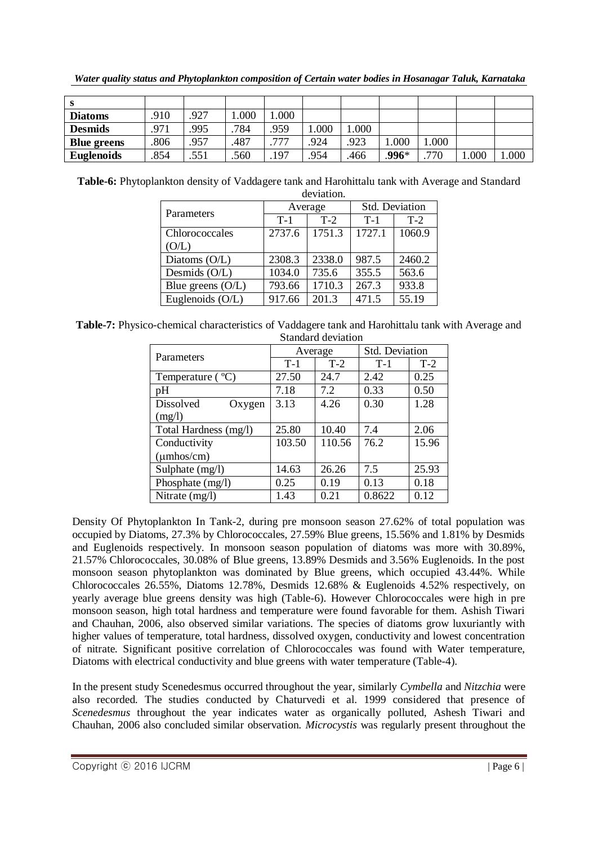*Water quality status and Phytoplankton composition of Certain water bodies in Hosanagar Taluk, Karnataka*

| - 33               |      |      |      |      |      |       |       |         |      |      |
|--------------------|------|------|------|------|------|-------|-------|---------|------|------|
| <b>Diatoms</b>     | .910 | .927 | .000 | .000 |      |       |       |         |      |      |
| <b>Desmids</b>     | .971 | .995 | 784  | .959 | .000 | 000.1 |       |         |      |      |
| <b>Blue greens</b> | .806 | .957 | .487 | .777 | .924 | .923  | .000  | $000$ . |      |      |
| <b>Euglenoids</b>  | .854 | .551 | .560 | .197 | .954 | .466  | .996* | 770     | .000 | .000 |

**Table-6:** Phytoplankton density of Vaddagere tank and Harohittalu tank with Average and Standard

| deviation.          |        |         |                |        |  |  |  |  |
|---------------------|--------|---------|----------------|--------|--|--|--|--|
|                     |        | Average | Std. Deviation |        |  |  |  |  |
| Parameters          | $T-1$  | $T-2$   | $T-1$          | $T-2$  |  |  |  |  |
| Chlorococcales      | 2737.6 | 1751.3  | 1727.1         | 1060.9 |  |  |  |  |
| (O/L)               |        |         |                |        |  |  |  |  |
| Diatoms $(O/L)$     | 2308.3 | 2338.0  | 987.5          | 2460.2 |  |  |  |  |
| Desmids (O/L)       | 1034.0 | 735.6   | 355.5          | 563.6  |  |  |  |  |
| Blue greens $(O/L)$ | 793.66 | 1710.3  | 267.3          | 933.8  |  |  |  |  |
| Euglenoids (O/L)    | 917.66 | 201.3   | 471.5          | 55.19  |  |  |  |  |

**Table-7:** Physico-chemical characteristics of Vaddagere tank and Harohittalu tank with Average and Standard deviation

| Parameters                  | Average |        | Std. Deviation |       |  |  |  |
|-----------------------------|---------|--------|----------------|-------|--|--|--|
|                             | $T-1$   | $T-2$  | $T-1$          | $T-2$ |  |  |  |
| Temperature $({}^{\circ}C)$ | 27.50   | 24.7   | 2.42           | 0.25  |  |  |  |
| pH                          | 7.18    | 7.2    | 0.33           | 0.50  |  |  |  |
| <b>Dissolved</b><br>Oxygen  | 3.13    | 4.26   | 0.30           | 1.28  |  |  |  |
| (mg/l)                      |         |        |                |       |  |  |  |
| Total Hardness (mg/l)       | 25.80   | 10.40  | 7.4            | 2.06  |  |  |  |
| Conductivity                | 103.50  | 110.56 | 76.2           | 15.96 |  |  |  |
| $(\mu$ mhos/cm $)$          |         |        |                |       |  |  |  |
| Sulphate (mg/l)             | 14.63   | 26.26  | 7.5            | 25.93 |  |  |  |
| Phosphate $(mg/l)$          | 0.25    | 0.19   | 0.13           | 0.18  |  |  |  |
| Nitrate $(mg/l)$            | 1.43    | 0.21   | 0.8622         | 0.12  |  |  |  |

Density Of Phytoplankton In Tank-2, during pre monsoon season 27.62% of total population was occupied by Diatoms, 27.3% by Chlorococcales, 27.59% Blue greens, 15.56% and 1.81% by Desmids and Euglenoids respectively. In monsoon season population of diatoms was more with 30.89%, 21.57% Chlorococcales, 30.08% of Blue greens, 13.89% Desmids and 3.56% Euglenoids. In the post monsoon season phytoplankton was dominated by Blue greens, which occupied 43.44%. While Chlorococcales 26.55%, Diatoms 12.78%, Desmids 12.68% & Euglenoids 4.52% respectively, on yearly average blue greens density was high (Table-6). However Chlorococcales were high in pre monsoon season, high total hardness and temperature were found favorable for them. Ashish Tiwari and Chauhan, 2006, also observed similar variations. The species of diatoms grow luxuriantly with higher values of temperature, total hardness, dissolved oxygen, conductivity and lowest concentration of nitrate. Significant positive correlation of Chlorococcales was found with Water temperature, Diatoms with electrical conductivity and blue greens with water temperature (Table-4).

In the present study Scenedesmus occurred throughout the year, similarly *Cymbella* and *Nitzchia* were also recorded. The studies conducted by Chaturvedi et al. 1999 considered that presence of *Scenedesmus* throughout the year indicates water as organically polluted, Ashesh Tiwari and Chauhan, 2006 also concluded similar observation. *Microcystis* was regularly present throughout the